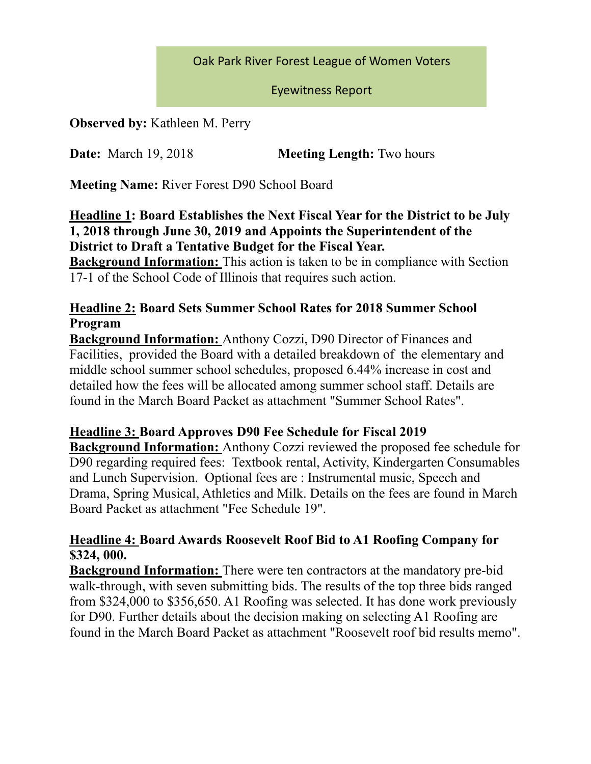#### Oak Park River Forest League of Women Voters

#### Eyewitness Report

**Observed by:** Kathleen M. Perry

**Date:** March 19, 2018 **Meeting Length:** Two hours

**Meeting Name:** River Forest D90 School Board

**Headline 1: Board Establishes the Next Fiscal Year for the District to be July 1, 2018 through June 30, 2019 and Appoints the Superintendent of the District to Draft a Tentative Budget for the Fiscal Year.** 

**Background Information:** This action is taken to be in compliance with Section 17-1 of the School Code of Illinois that requires such action.

#### **Headline 2: Board Sets Summer School Rates for 2018 Summer School Program**

**Background Information:** Anthony Cozzi, D90 Director of Finances and Facilities, provided the Board with a detailed breakdown of the elementary and middle school summer school schedules, proposed 6.44% increase in cost and detailed how the fees will be allocated among summer school staff. Details are found in the March Board Packet as attachment "Summer School Rates".

## **Headline 3: Board Approves D90 Fee Schedule for Fiscal 2019**

**Background Information:** Anthony Cozzi reviewed the proposed fee schedule for D90 regarding required fees: Textbook rental, Activity, Kindergarten Consumables and Lunch Supervision. Optional fees are : Instrumental music, Speech and Drama, Spring Musical, Athletics and Milk. Details on the fees are found in March Board Packet as attachment "Fee Schedule 19".

## **Headline 4: Board Awards Roosevelt Roof Bid to A1 Roofing Company for \$324, 000.**

**Background Information:** There were ten contractors at the mandatory pre-bid walk-through, with seven submitting bids. The results of the top three bids ranged from \$324,000 to \$356,650. A1 Roofing was selected. It has done work previously for D90. Further details about the decision making on selecting A1 Roofing are found in the March Board Packet as attachment "Roosevelt roof bid results memo".